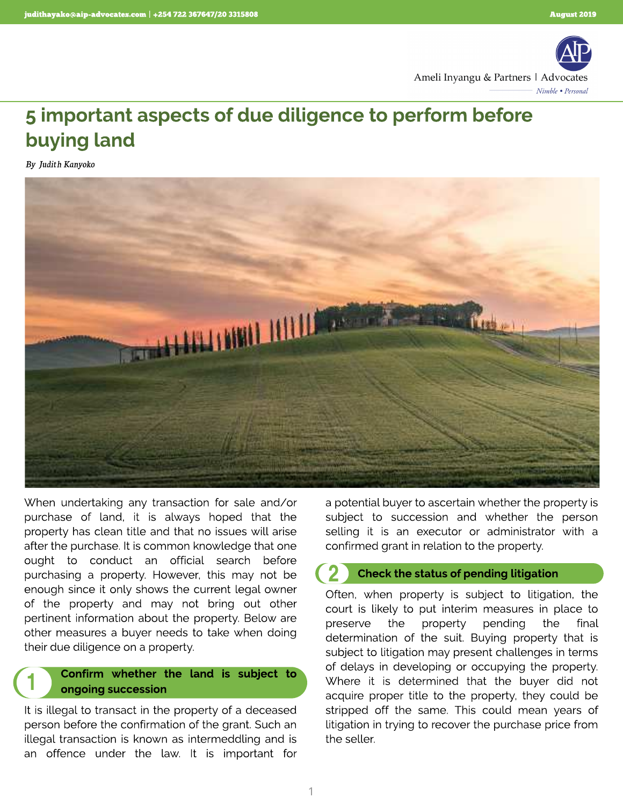

# 5 important aspects of due diligence to perform before buying land

**By Judith Kanyoko**

1



When undertaking any transaction for sale and/or purchase of land, it is always hoped that the property has clean title and that no issues will arise after the purchase. It is common knowledge that one ought to conduct an official search before purchasing a property. However, this may not be enough since it only shows the current legal owner of the property and may not bring out other pertinent information about the property. Below are other measures a buyer needs to take when doing their due diligence on a property.

# Confirm whether the land is subject to ongoing succession

It is illegal to transact in the property of a deceased person before the confirmation of the grant. Such an illegal transaction is known as intermeddling and is an offence under the law. It is important for a potential buyer to ascertain whether the property is subject to succession and whether the person selling it is an executor or administrator with a confirmed grant in relation to the property.

#### Check the status of pending litigation 2

Often, when property is subject to litigation, the court is likely to put interim measures in place to preserve the property pending the final determination of the suit. Buying property that is subject to litigation may present challenges in terms of delays in developing or occupying the property. Where it is determined that the buyer did not acquire proper title to the property, they could be stripped off the same. This could mean years of litigation in trying to recover the purchase price from the seller.